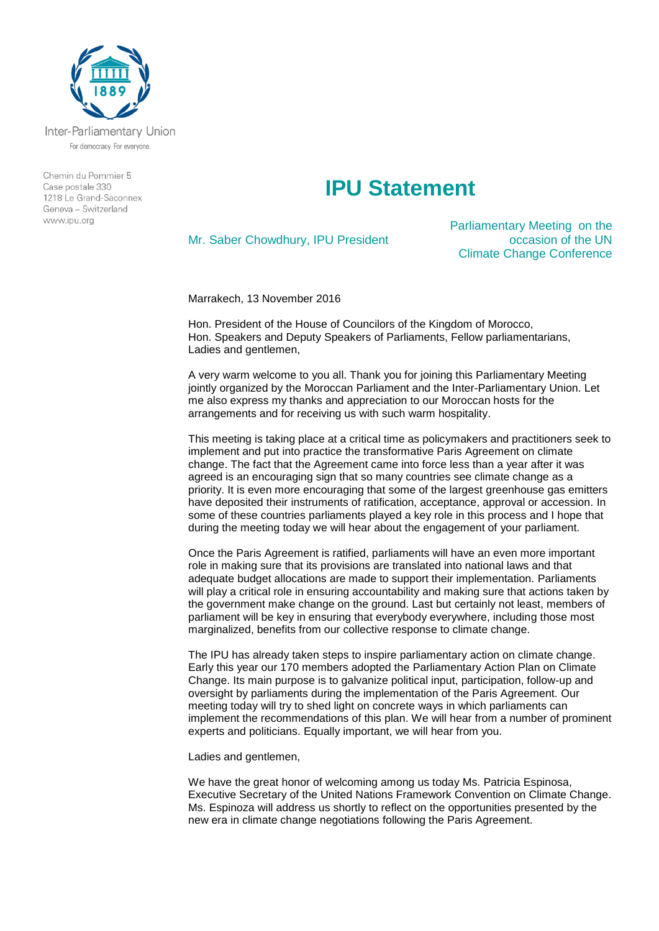

Inter-Parliamentary Union For democracy. For everyone.

Chemin du Pommier 5 Case postale 330  $1218$   $\leq$  Grand-Saconney Geneva - Switzerland www.ipu.org

## **IPU Statement**

Mr. Saber Chowdhury, IPU President

Parliamentary Meeting on the occasion of the UN Climate Change Conference

Marrakech, 13 November 2016

Hon. President of the House of Councilors of the Kingdom of Morocco, Hon. Speakers and Deputy Speakers of Parliaments, Fellow parliamentarians, Ladies and gentlemen,

A very warm welcome to you all. Thank you for joining this Parliamentary Meeting jointly organized by the Moroccan Parliament and the Inter-Parliamentary Union. Let me also express my thanks and appreciation to our Moroccan hosts for the arrangements and for receiving us with such warm hospitality.

This meeting is taking place at a critical time as policymakers and practitioners seek to implement and put into practice the transformative Paris Agreement on climate change. The fact that the Agreement came into force less than a year after it was agreed is an encouraging sign that so many countries see climate change as a priority. It is even more encouraging that some of the largest greenhouse gas emitters have deposited their instruments of ratification, acceptance, approval or accession. In some of these countries parliaments played a key role in this process and I hope that during the meeting today we will hear about the engagement of your parliament.

Once the Paris Agreement is ratified, parliaments will have an even more important role in making sure that its provisions are translated into national laws and that adequate budget allocations are made to support their implementation. Parliaments will play a critical role in ensuring accountability and making sure that actions taken by the government make change on the ground. Last but certainly not least, members of parliament will be key in ensuring that everybody everywhere, including those most marginalized, benefits from our collective response to climate change.

The IPU has already taken steps to inspire parliamentary action on climate change. Early this year our 170 members adopted the Parliamentary Action Plan on Climate Change. Its main purpose is to galvanize political input, participation, follow-up and oversight by parliaments during the implementation of the Paris Agreement. Our meeting today will try to shed light on concrete ways in which parliaments can implement the recommendations of this plan. We will hear from a number of prominent experts and politicians. Equally important, we will hear from you.

Ladies and gentlemen,

We have the great honor of welcoming among us today Ms. Patricia Espinosa, Executive Secretary of the United Nations Framework Convention on Climate Change. Ms. Espinoza will address us shortly to reflect on the opportunities presented by the new era in climate change negotiations following the Paris Agreement.